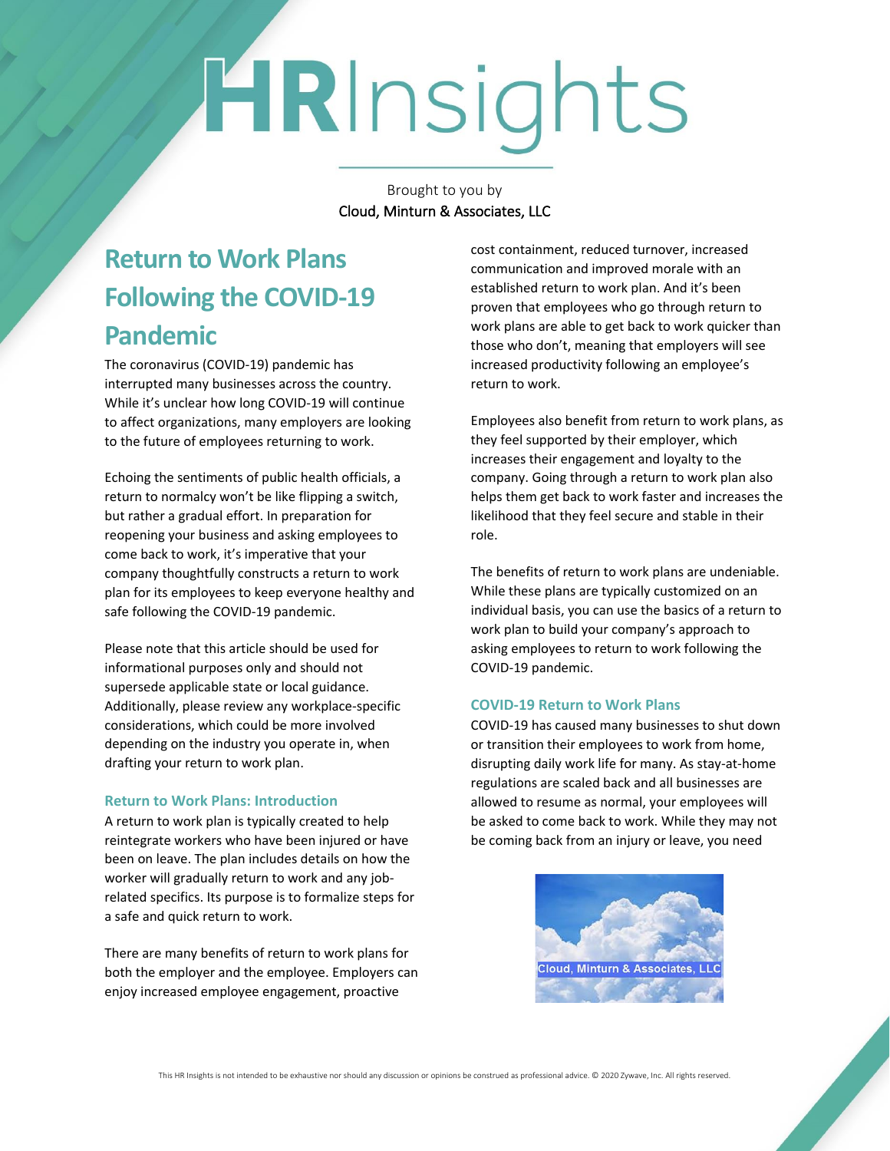# HRInsights

Brought to you by Cloud, Minturn & Associates, LLC

## **Return to Work Plans Following the COVID-19 Pandemic**

The coronavirus (COVID-19) pandemic has interrupted many businesses across the country. While it's unclear how long COVID-19 will continue to affect organizations, many employers are looking to the future of employees returning to work.

Echoing the sentiments of public health officials, a return to normalcy won't be like flipping a switch, but rather a gradual effort. In preparation for reopening your business and asking employees to come back to work, it's imperative that your company thoughtfully constructs a return to work plan for its employees to keep everyone healthy and safe following the COVID-19 pandemic.

Please note that this article should be used for informational purposes only and should not supersede applicable state or local guidance. Additionally, please review any workplace-specific considerations, which could be more involved depending on the industry you operate in, when drafting your return to work plan.

#### **Return to Work Plans: Introduction**

A return to work plan is typically created to help reintegrate workers who have been injured or have been on leave. The plan includes details on how the worker will gradually return to work and any jobrelated specifics. Its purpose is to formalize steps for a safe and quick return to work.

There are many benefits of return to work plans for both the employer and the employee. Employers can enjoy increased employee engagement, proactive

cost containment, reduced turnover, increased communication and improved morale with an established return to work plan. And it's been proven that employees who go through return to work plans are able to get back to work quicker than those who don't, meaning that employers will see increased productivity following an employee's return to work.

Employees also benefit from return to work plans, as they feel supported by their employer, which increases their engagement and loyalty to the company. Going through a return to work plan also helps them get back to work faster and increases the likelihood that they feel secure and stable in their role.

The benefits of return to work plans are undeniable. While these plans are typically customized on an individual basis, you can use the basics of a return to work plan to build your company's approach to asking employees to return to work following the COVID-19 pandemic.

#### **COVID-19 Return to Work Plans**

COVID-19 has caused many businesses to shut down or transition their employees to work from home, disrupting daily work life for many. As stay-at-home regulations are scaled back and all businesses are allowed to resume as normal, your employees will be asked to come back to work. While they may not be coming back from an injury or leave, you need

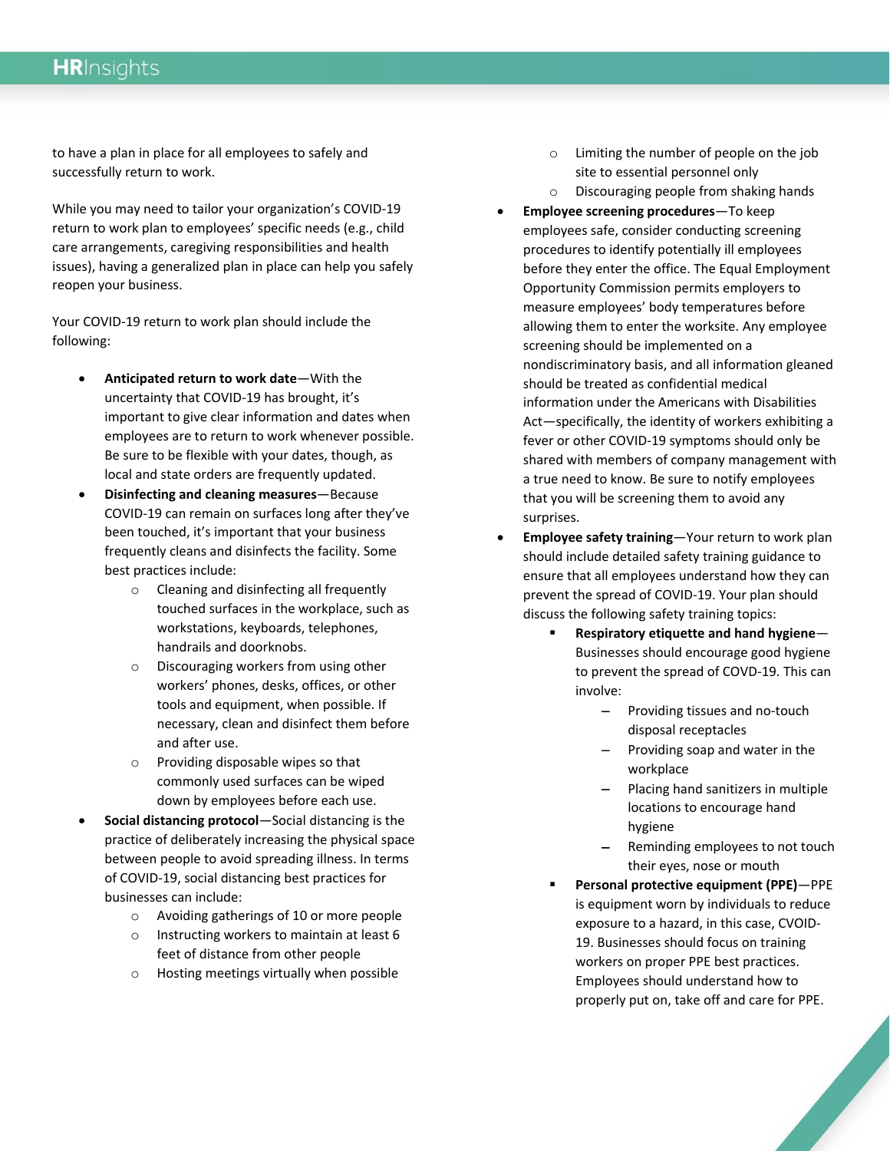### **HR**Insights

to have a plan in place for all employees to safely and successfully return to work.

While you may need to tailor your organization's COVID-19 return to work plan to employees' specific needs (e.g., child care arrangements, caregiving responsibilities and health issues), having a generalized plan in place can help you safely reopen your business.

Your COVID-19 return to work plan should include the following:

- **Anticipated return to work date**—With the uncertainty that COVID-19 has brought, it's important to give clear information and dates when employees are to return to work whenever possible. Be sure to be flexible with your dates, though, as local and state orders are frequently updated.
- **Disinfecting and cleaning measures**—Because COVID-19 can remain on surfaces long after they've been touched, it's important that your business frequently cleans and disinfects the facility. Some best practices include:
	- o Cleaning and disinfecting all frequently touched surfaces in the workplace, such as workstations, keyboards, telephones, handrails and doorknobs.
	- o Discouraging workers from using other workers' phones, desks, offices, or other tools and equipment, when possible. If necessary, clean and disinfect them before and after use.
	- o Providing disposable wipes so that commonly used surfaces can be wiped down by employees before each use.
- **Social distancing protocol**—Social distancing is the practice of deliberately increasing the physical space between people to avoid spreading illness. In terms of COVID-19, social distancing best practices for businesses can include:
	- o Avoiding gatherings of 10 or more people
	- o Instructing workers to maintain at least 6 feet of distance from other people
	- o Hosting meetings virtually when possible
- o Limiting the number of people on the job site to essential personnel only
- o Discouraging people from shaking hands
- **Employee screening procedures**—To keep employees safe, consider conducting screening procedures to identify potentially ill employees before they enter the office. The Equal Employment Opportunity Commission permits employers to measure employees' body temperatures before allowing them to enter the worksite. Any employee screening should be implemented on a nondiscriminatory basis, and all information gleaned should be treated as confidential medical information under the Americans with Disabilities Act—specifically, the identity of workers exhibiting a fever or other COVID-19 symptoms should only be shared with members of company management with a true need to know. Be sure to notify employees that you will be screening them to avoid any surprises.
- **Employee safety training**—Your return to work plan should include detailed safety training guidance to ensure that all employees understand how they can prevent the spread of COVID-19. Your plan should discuss the following safety training topics:
	- **Respiratory etiquette and hand hygiene** Businesses should encourage good hygiene to prevent the spread of COVD-19. This can involve:
		- − Providing tissues and no-touch disposal receptacles
		- − Providing soap and water in the workplace
		- − Placing hand sanitizers in multiple locations to encourage hand hygiene
		- Reminding employees to not touch their eyes, nose or mouth
	- **Personal protective equipment (PPE)**—PPE is equipment worn by individuals to reduce exposure to a hazard, in this case, CVOID-19. Businesses should focus on training workers on proper PPE best practices. Employees should understand how to properly put on, take off and care for PPE.